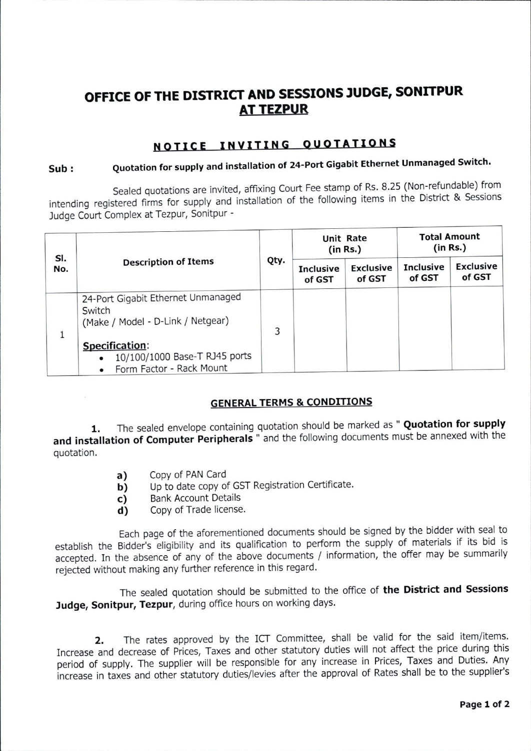## OFFICE OF THE DISTRICT AND SESSIONS JUDGE, SONITPUR **AT TEZPUR**

### NOTICE INVITING QUOTATIONS

# Sub : Quotation for supply and installation of 24-Port Gigabit Ethernet Unmanaged Switch.

Sealed quotations are invited, affixing Court Fee stamp of Rs. 8.25 (Non-refundable) from intending registered firms for supply and installation of the following items in the District & Sessions Judge Court Complex at Tezpur, Sonitpur -

| SI.<br>No. | <b>Description of Items</b>                                                              | Qty. | <b>Unit Rate</b><br>(in Rs.) |                            | <b>Total Amount</b><br>(in Rs.) |                            |
|------------|------------------------------------------------------------------------------------------|------|------------------------------|----------------------------|---------------------------------|----------------------------|
|            |                                                                                          |      | <b>Inclusive</b><br>of GST   | <b>Exclusive</b><br>of GST | <b>Inclusive</b><br>of GST      | <b>Exclusive</b><br>of GST |
|            | 24-Port Gigabit Ethernet Unmanaged<br>Switch<br>(Make / Model - D-Link / Netgear)        | 3    |                              |                            |                                 |                            |
|            | Specification:<br>10/100/1000 Base-T RJ45 ports<br>$\bullet$<br>Form Factor - Rack Mount |      |                              |                            |                                 |                            |

### **GENERAL TERMS & CONDITIONS**

1. The sealed envelope containing quotation should be marked as " Quotation for supply and installation of Computer Peripherals " and the following documents must be annexed with the quotation.

- a) Copy of PAN Card
- b) Up to date copy of GST Registration Certificate.
- c) Bank Account Details
- d) Copy of Trade license.

Each page of the aforementioned documents should be signed by the bidder with seal to establish the Bidder's eligibility and its qualification to perform the supply of materials if its bid is accepted. In the absence of any of the above documents / information, the offer may be summarily rejected without making any further reference in this regard.

The sealed quotation should be submitted to the office of the District and Sessions Judge, Sonitpur, Tezpur, during office hours on working days.

2. The rates approved by the ICT Committee, shall be valid for the said item/items. Increase and decrease of Prices, Taxes and other statutory duties will not affect the price during this period of supply. The supplier will be responsible for any increase in Prices, Taxes and Duties. Any increase in taxes and other statutory duties/levies after the approval of Rates shall be to the supplier's